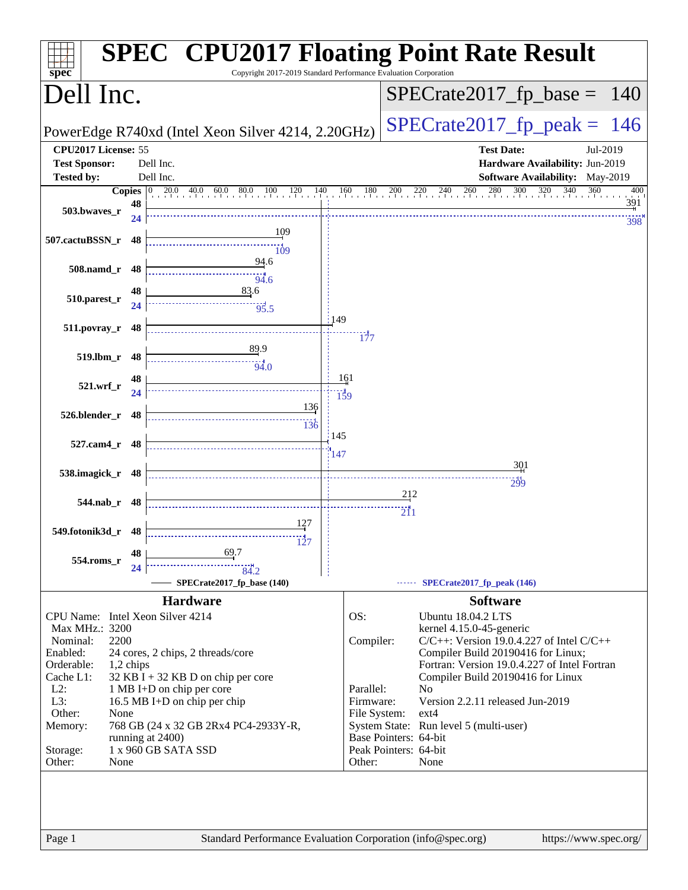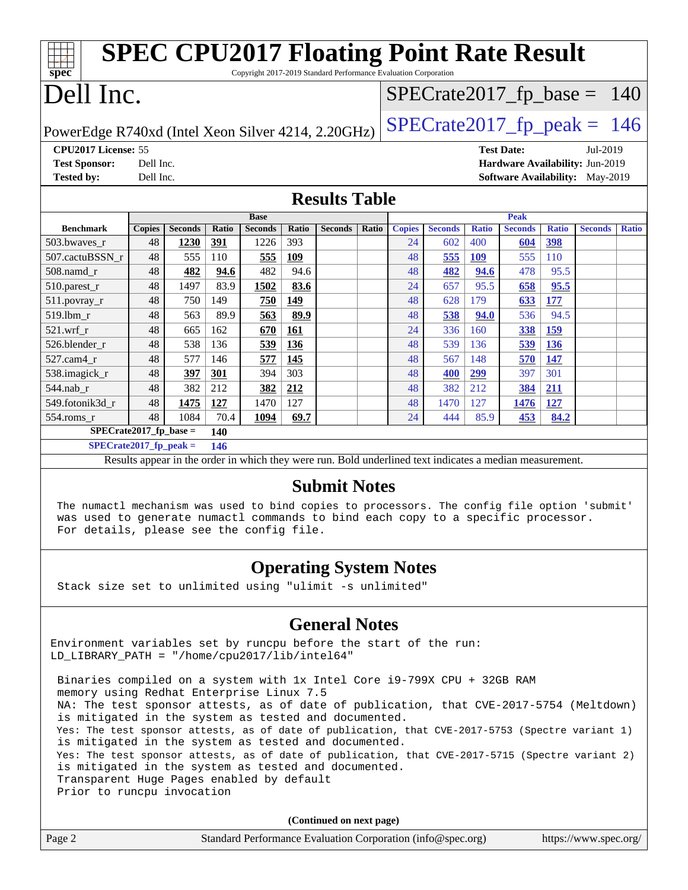| <b>SPEC CPU2017 Floating Point Rate Result</b>                                      |                      |                |              |                |       |                |       |               |                |              |                                        |              |                |              |
|-------------------------------------------------------------------------------------|----------------------|----------------|--------------|----------------|-------|----------------|-------|---------------|----------------|--------------|----------------------------------------|--------------|----------------|--------------|
| $spec*$<br>Copyright 2017-2019 Standard Performance Evaluation Corporation          |                      |                |              |                |       |                |       |               |                |              |                                        |              |                |              |
| Dell Inc.<br>$SPECrate2017_fp\_base = 140$                                          |                      |                |              |                |       |                |       |               |                |              |                                        |              |                |              |
| $SPECTate2017$ _fp_peak = 146<br>PowerEdge R740xd (Intel Xeon Silver 4214, 2.20GHz) |                      |                |              |                |       |                |       |               |                |              |                                        |              |                |              |
| CPU2017 License: 55                                                                 |                      |                |              |                |       |                |       |               |                |              | <b>Test Date:</b>                      |              | Jul-2019       |              |
| <b>Test Sponsor:</b>                                                                | Dell Inc.            |                |              |                |       |                |       |               |                |              | Hardware Availability: Jun-2019        |              |                |              |
| <b>Tested by:</b>                                                                   | Dell Inc.            |                |              |                |       |                |       |               |                |              | <b>Software Availability:</b> May-2019 |              |                |              |
|                                                                                     | <b>Results Table</b> |                |              |                |       |                |       |               |                |              |                                        |              |                |              |
|                                                                                     |                      |                |              | <b>Base</b>    |       |                |       |               |                |              | <b>Peak</b>                            |              |                |              |
| <b>Benchmark</b>                                                                    | <b>Copies</b>        | <b>Seconds</b> | <b>Ratio</b> | <b>Seconds</b> | Ratio | <b>Seconds</b> | Ratio | <b>Copies</b> | <b>Seconds</b> | <b>Ratio</b> | <b>Seconds</b>                         | <b>Ratio</b> | <b>Seconds</b> | <b>Ratio</b> |
| 503.bwayes r                                                                        | 48                   | 1230           | 391          | 1226           | 393   |                |       | 24            | 602            | 400          | 604                                    | 398          |                |              |
| 507.cactuBSSN_r                                                                     | 48                   | 555            | 110          | 555            | 109   |                |       | 48            | 555            | <b>109</b>   | 555                                    | 110          |                |              |
| 508.namd r                                                                          | 48                   | 482            | 94.6         | 482            | 94.6  |                |       | 48            | 482            | 94.6         | 478                                    | 95.5         |                |              |
| 510.parest_r                                                                        | 48                   | 1497           | 83.9         | 1502           | 83.6  |                |       | 24            | 657            | 95.5         | 658                                    | 95.5         |                |              |
| $511. povray_r$                                                                     | 48                   | 750            | 149          | 750            | 149   |                |       | 48            | 628            | 179          | 633                                    | 177          |                |              |
| 519.lbm r                                                                           | 48                   | 563            | 89.9         | 563            | 89.9  |                |       | 48            | 538            | 94.0         | 536                                    | 94.5         |                |              |
| 521.wrf r                                                                           | 48                   | 665            | 162          | 670            | 161   |                |       | 24            | 336            | 160          | 338                                    | 159          |                |              |
| 526.blender r                                                                       | 48                   | 538            | 136          | 539            | 136   |                |       | 48            | 539            | 136          | 539                                    | 136          |                |              |
| 527.cam4 r                                                                          | 48                   | 577            | 146          | 577            | 145   |                |       | 48            | 567            | 148          | 570                                    | 147          |                |              |
| 538. imagick r                                                                      | 48                   | 397            | 301          | 394            | 303   |                |       | 48            | 400            | 299          | 397                                    | 301          |                |              |
| $544$ .nab_r                                                                        | 48                   | 382            | 212          | 382            | 212   |                |       | 48            | 382            | 212          | 384                                    | <u>211</u>   |                |              |
| 549.fotonik3d r                                                                     | 48                   | 1475           | 127          | 1470           | 127   |                |       | 48            | 1470           | 127          | 1476                                   | 127          |                |              |
| $554$ .roms $r$                                                                     | 48                   | 1084           | 70.4         | 1094           | 69.7  |                |       | 24            | 444            | 85.9         | 453                                    | 84.2         |                |              |
| $SPECrate2017_fp\_base =$                                                           |                      |                | 140          |                |       |                |       |               |                |              |                                        |              |                |              |
| $SPECrate2017$ fp peak =<br>146                                                     |                      |                |              |                |       |                |       |               |                |              |                                        |              |                |              |

Results appear in the [order in which they were run.](http://www.spec.org/auto/cpu2017/Docs/result-fields.html#RunOrder) Bold underlined text [indicates a median measurement.](http://www.spec.org/auto/cpu2017/Docs/result-fields.html#Median)

#### **[Submit Notes](http://www.spec.org/auto/cpu2017/Docs/result-fields.html#SubmitNotes)**

 The numactl mechanism was used to bind copies to processors. The config file option 'submit' was used to generate numactl commands to bind each copy to a specific processor. For details, please see the config file.

### **[Operating System Notes](http://www.spec.org/auto/cpu2017/Docs/result-fields.html#OperatingSystemNotes)**

Stack size set to unlimited using "ulimit -s unlimited"

### **[General Notes](http://www.spec.org/auto/cpu2017/Docs/result-fields.html#GeneralNotes)**

Environment variables set by runcpu before the start of the run: LD\_LIBRARY\_PATH = "/home/cpu2017/lib/intel64"

 Binaries compiled on a system with 1x Intel Core i9-799X CPU + 32GB RAM memory using Redhat Enterprise Linux 7.5 NA: The test sponsor attests, as of date of publication, that CVE-2017-5754 (Meltdown) is mitigated in the system as tested and documented. Yes: The test sponsor attests, as of date of publication, that CVE-2017-5753 (Spectre variant 1) is mitigated in the system as tested and documented. Yes: The test sponsor attests, as of date of publication, that CVE-2017-5715 (Spectre variant 2) is mitigated in the system as tested and documented. Transparent Huge Pages enabled by default Prior to runcpu invocation

**(Continued on next page)**

|        | $($ continuou on noire page)                                |                       |
|--------|-------------------------------------------------------------|-----------------------|
| Page 2 | Standard Performance Evaluation Corporation (info@spec.org) | https://www.spec.org/ |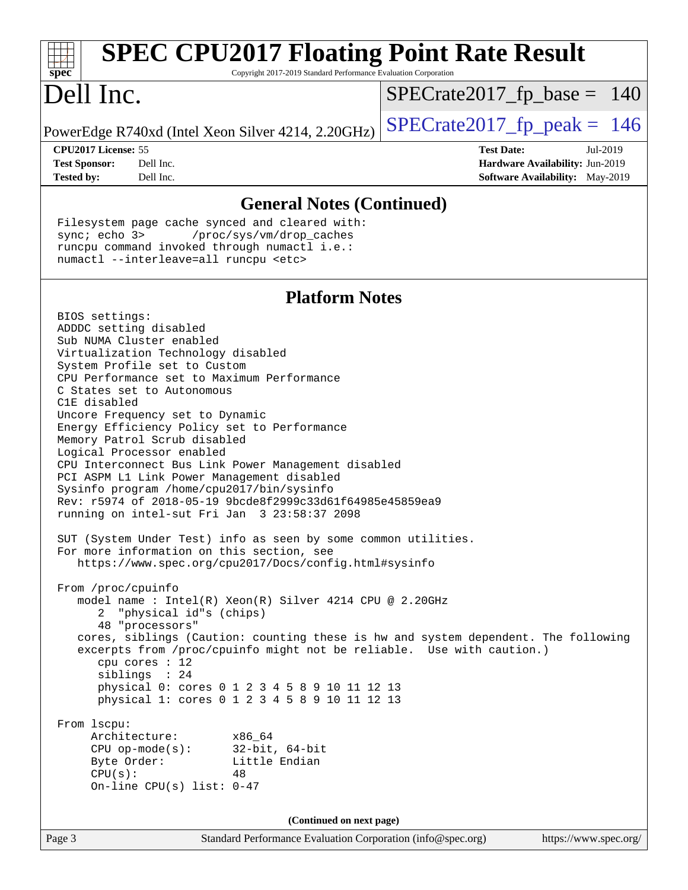| <b>SPEC CPU2017 Floating Point Rate Result</b>                                                                                                                                                                                                                                                                                                                                                                                                                                                                                                                                                                                                                                                                                                                                                                               |                                                                                                     |
|------------------------------------------------------------------------------------------------------------------------------------------------------------------------------------------------------------------------------------------------------------------------------------------------------------------------------------------------------------------------------------------------------------------------------------------------------------------------------------------------------------------------------------------------------------------------------------------------------------------------------------------------------------------------------------------------------------------------------------------------------------------------------------------------------------------------------|-----------------------------------------------------------------------------------------------------|
| Copyright 2017-2019 Standard Performance Evaluation Corporation<br>$spec^*$                                                                                                                                                                                                                                                                                                                                                                                                                                                                                                                                                                                                                                                                                                                                                  |                                                                                                     |
| Dell Inc.                                                                                                                                                                                                                                                                                                                                                                                                                                                                                                                                                                                                                                                                                                                                                                                                                    | $SPECrate2017_fp\_base = 140$                                                                       |
| PowerEdge R740xd (Intel Xeon Silver 4214, 2.20GHz)                                                                                                                                                                                                                                                                                                                                                                                                                                                                                                                                                                                                                                                                                                                                                                           | $SPECTate2017$ _fp_peak = 146                                                                       |
| CPU2017 License: 55<br><b>Test Sponsor:</b><br>Dell Inc.<br>Dell Inc.<br><b>Tested by:</b>                                                                                                                                                                                                                                                                                                                                                                                                                                                                                                                                                                                                                                                                                                                                   | <b>Test Date:</b><br>Jul-2019<br>Hardware Availability: Jun-2019<br>Software Availability: May-2019 |
| <b>General Notes (Continued)</b>                                                                                                                                                                                                                                                                                                                                                                                                                                                                                                                                                                                                                                                                                                                                                                                             |                                                                                                     |
| Filesystem page cache synced and cleared with:<br>sync $i$ echo $3$<br>/proc/sys/vm/drop_caches<br>runcpu command invoked through numactl i.e.:<br>numactl --interleave=all runcpu <etc></etc>                                                                                                                                                                                                                                                                                                                                                                                                                                                                                                                                                                                                                               |                                                                                                     |
| <b>Platform Notes</b>                                                                                                                                                                                                                                                                                                                                                                                                                                                                                                                                                                                                                                                                                                                                                                                                        |                                                                                                     |
| BIOS settings:<br>ADDDC setting disabled<br>Sub NUMA Cluster enabled<br>Virtualization Technology disabled<br>System Profile set to Custom<br>CPU Performance set to Maximum Performance<br>C States set to Autonomous<br>C1E disabled<br>Uncore Frequency set to Dynamic<br>Energy Efficiency Policy set to Performance<br>Memory Patrol Scrub disabled<br>Logical Processor enabled<br>CPU Interconnect Bus Link Power Management disabled<br>PCI ASPM L1 Link Power Management disabled<br>Sysinfo program /home/cpu2017/bin/sysinfo<br>Rev: r5974 of 2018-05-19 9bcde8f2999c33d61f64985e45859ea9<br>running on intel-sut Fri Jan 3 23:58:37 2098<br>SUT (System Under Test) info as seen by some common utilities.<br>For more information on this section, see<br>https://www.spec.org/cpu2017/Docs/config.html#sysinfo |                                                                                                     |
| From /proc/cpuinfo<br>model name : Intel(R) Xeon(R) Silver 4214 CPU @ 2.20GHz<br>"physical id"s (chips)<br>2<br>48 "processors"<br>cores, siblings (Caution: counting these is hw and system dependent. The following<br>excerpts from /proc/cpuinfo might not be reliable. Use with caution.)<br>cpu cores : 12<br>siblings : 24<br>physical 0: cores 0 1 2 3 4 5 8 9 10 11 12 13<br>physical 1: cores 0 1 2 3 4 5 8 9 10 11 12 13                                                                                                                                                                                                                                                                                                                                                                                          |                                                                                                     |
| From lscpu:<br>Architecture: x86_64<br>CPU op-mode(s): $32-bit, 64-bit$<br>Byte Order:<br>Little Endian<br>CPU(s):<br>48<br>On-line CPU(s) list: $0-47$                                                                                                                                                                                                                                                                                                                                                                                                                                                                                                                                                                                                                                                                      |                                                                                                     |
| (Continued on next page)                                                                                                                                                                                                                                                                                                                                                                                                                                                                                                                                                                                                                                                                                                                                                                                                     |                                                                                                     |
| Page 3<br>Standard Performance Evaluation Corporation (info@spec.org)                                                                                                                                                                                                                                                                                                                                                                                                                                                                                                                                                                                                                                                                                                                                                        | https://www.spec.org/                                                                               |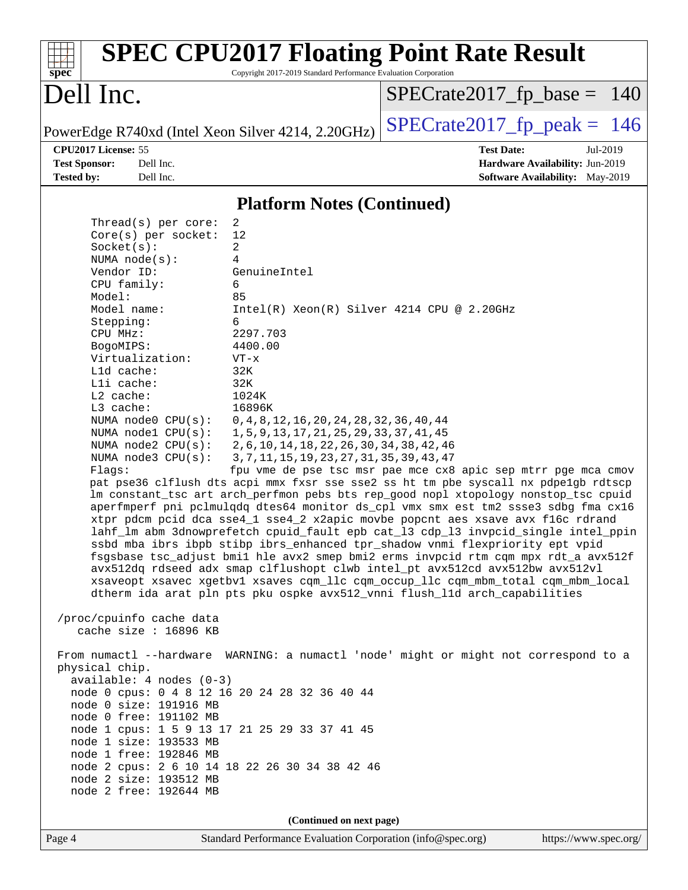| $spec^*$                                                                                                                                                                                                                                                                                                                                                                                                                                                                                                                                                                                                                                       | Copyright 2017-2019 Standard Performance Evaluation Corporation                                                                                                                                                                                                                                                                                                                                                                                                                                     | <b>SPEC CPU2017 Floating Point Rate Result</b>                                                                                                                                                                                                                                                                                                                                                                                                                                                                                                                                                                                                                                                                                                                                                                                                                                                                                                                                                                                                                        |
|------------------------------------------------------------------------------------------------------------------------------------------------------------------------------------------------------------------------------------------------------------------------------------------------------------------------------------------------------------------------------------------------------------------------------------------------------------------------------------------------------------------------------------------------------------------------------------------------------------------------------------------------|-----------------------------------------------------------------------------------------------------------------------------------------------------------------------------------------------------------------------------------------------------------------------------------------------------------------------------------------------------------------------------------------------------------------------------------------------------------------------------------------------------|-----------------------------------------------------------------------------------------------------------------------------------------------------------------------------------------------------------------------------------------------------------------------------------------------------------------------------------------------------------------------------------------------------------------------------------------------------------------------------------------------------------------------------------------------------------------------------------------------------------------------------------------------------------------------------------------------------------------------------------------------------------------------------------------------------------------------------------------------------------------------------------------------------------------------------------------------------------------------------------------------------------------------------------------------------------------------|
| Dell Inc.                                                                                                                                                                                                                                                                                                                                                                                                                                                                                                                                                                                                                                      |                                                                                                                                                                                                                                                                                                                                                                                                                                                                                                     | $SPECrate2017_fp\_base = 140$                                                                                                                                                                                                                                                                                                                                                                                                                                                                                                                                                                                                                                                                                                                                                                                                                                                                                                                                                                                                                                         |
|                                                                                                                                                                                                                                                                                                                                                                                                                                                                                                                                                                                                                                                | PowerEdge R740xd (Intel Xeon Silver 4214, 2.20GHz)                                                                                                                                                                                                                                                                                                                                                                                                                                                  | $SPECTate2017$ _fp_peak = 146                                                                                                                                                                                                                                                                                                                                                                                                                                                                                                                                                                                                                                                                                                                                                                                                                                                                                                                                                                                                                                         |
| CPU2017 License: 55<br><b>Test Sponsor:</b><br>Dell Inc.<br><b>Tested by:</b><br>Dell Inc.                                                                                                                                                                                                                                                                                                                                                                                                                                                                                                                                                     |                                                                                                                                                                                                                                                                                                                                                                                                                                                                                                     | <b>Test Date:</b><br>Jul-2019<br>Hardware Availability: Jun-2019<br><b>Software Availability:</b> May-2019                                                                                                                                                                                                                                                                                                                                                                                                                                                                                                                                                                                                                                                                                                                                                                                                                                                                                                                                                            |
|                                                                                                                                                                                                                                                                                                                                                                                                                                                                                                                                                                                                                                                | <b>Platform Notes (Continued)</b>                                                                                                                                                                                                                                                                                                                                                                                                                                                                   |                                                                                                                                                                                                                                                                                                                                                                                                                                                                                                                                                                                                                                                                                                                                                                                                                                                                                                                                                                                                                                                                       |
| Thread( $s$ ) per core:<br>Core(s) per socket:<br>Socket(s):<br>NUMA $node(s)$ :<br>Vendor ID:<br>CPU family:<br>Model:<br>Model name:<br>Stepping:<br>CPU MHz:<br>BogoMIPS:<br>Virtualization:<br>L1d cache:<br>Lli cache:<br>$L2$ cache:<br>L3 cache:<br>NUMA $node0$ $CPU(s):$<br>NUMA $node1$ $CPU(s):$<br>NUMA $node2$ CPU $(s)$ :<br>NUMA $node3$ $CPU(s):$<br>Flags:<br>/proc/cpuinfo cache data<br>cache size : $16896$ KB<br>physical chip.<br>$available: 4 nodes (0-3)$<br>node 0 size: 191916 MB<br>node 0 free: 191102 MB<br>node 1 size: 193533 MB<br>node 1 free: 192846 MB<br>node 2 size: 193512 MB<br>node 2 free: 192644 MB | 2<br>12<br>2<br>4<br>GenuineIntel<br>6<br>85<br>6<br>2297.703<br>4400.00<br>$VT - x$<br>32K<br>32K<br>1024K<br>16896K<br>0, 4, 8, 12, 16, 20, 24, 28, 32, 36, 40, 44<br>1, 5, 9, 13, 17, 21, 25, 29, 33, 37, 41, 45<br>2, 6, 10, 14, 18, 22, 26, 30, 34, 38, 42, 46<br>3, 7, 11, 15, 19, 23, 27, 31, 35, 39, 43, 47<br>node 0 cpus: 0 4 8 12 16 20 24 28 32 36 40 44<br>node 1 cpus: 1 5 9 13 17 21 25 29 33 37 41 45<br>node 2 cpus: 2 6 10 14 18 22 26 30 34 38 42 46<br>(Continued on next page) | Intel(R) Xeon(R) Silver 4214 CPU @ 2.20GHz<br>fpu vme de pse tsc msr pae mce cx8 apic sep mtrr pge mca cmov<br>pat pse36 clflush dts acpi mmx fxsr sse sse2 ss ht tm pbe syscall nx pdpelgb rdtscp<br>lm constant_tsc art arch_perfmon pebs bts rep_good nopl xtopology nonstop_tsc cpuid<br>aperfmperf pni pclmulqdq dtes64 monitor ds_cpl vmx smx est tm2 ssse3 sdbg fma cx16<br>xtpr pdcm pcid dca sse4_1 sse4_2 x2apic movbe popcnt aes xsave avx f16c rdrand<br>lahf_lm abm 3dnowprefetch cpuid_fault epb cat_13 cdp_13 invpcid_single intel_ppin<br>ssbd mba ibrs ibpb stibp ibrs_enhanced tpr_shadow vnmi flexpriority ept vpid<br>fsgsbase tsc_adjust bmil hle avx2 smep bmi2 erms invpcid rtm cqm mpx rdt_a avx512f<br>avx512dq rdseed adx smap clflushopt clwb intel_pt avx512cd avx512bw avx512vl<br>xsaveopt xsavec xgetbvl xsaves cqm_llc cqm_occup_llc cqm_mbm_total cqm_mbm_local<br>dtherm ida arat pln pts pku ospke avx512_vnni flush_lld arch_capabilities<br>From numactl --hardware WARNING: a numactl 'node' might or might not correspond to a |
| Page 4                                                                                                                                                                                                                                                                                                                                                                                                                                                                                                                                                                                                                                         | Standard Performance Evaluation Corporation (info@spec.org)                                                                                                                                                                                                                                                                                                                                                                                                                                         | https://www.spec.org/                                                                                                                                                                                                                                                                                                                                                                                                                                                                                                                                                                                                                                                                                                                                                                                                                                                                                                                                                                                                                                                 |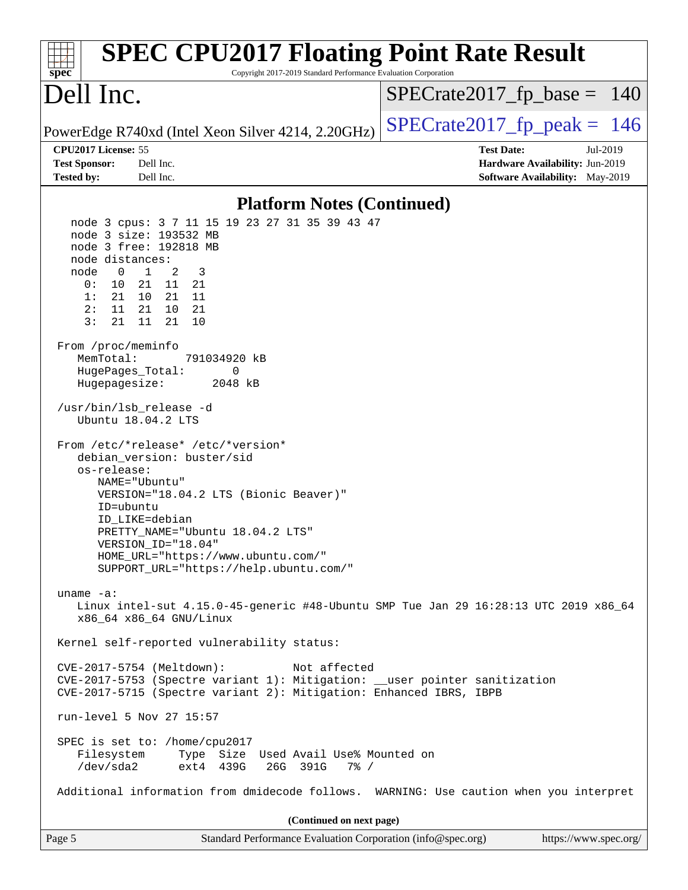| <b>SPEC CPU2017 Floating Point Rate Result</b><br>Copyright 2017-2019 Standard Performance Evaluation Corporation<br>$spec^*$                                                                                                                                                                                                                                                                  |                                                                                                     |
|------------------------------------------------------------------------------------------------------------------------------------------------------------------------------------------------------------------------------------------------------------------------------------------------------------------------------------------------------------------------------------------------|-----------------------------------------------------------------------------------------------------|
| Dell Inc.                                                                                                                                                                                                                                                                                                                                                                                      | $SPECrate2017_fp\_base = 140$                                                                       |
| PowerEdge R740xd (Intel Xeon Silver 4214, 2.20GHz)                                                                                                                                                                                                                                                                                                                                             | $SPECTate2017$ _fp_peak = 146                                                                       |
| CPU2017 License: 55<br><b>Test Sponsor:</b><br>Dell Inc.<br><b>Tested by:</b><br>Dell Inc.                                                                                                                                                                                                                                                                                                     | <b>Test Date:</b><br>Jul-2019<br>Hardware Availability: Jun-2019<br>Software Availability: May-2019 |
| <b>Platform Notes (Continued)</b>                                                                                                                                                                                                                                                                                                                                                              |                                                                                                     |
| node 3 cpus: 3 7 11 15 19 23 27 31 35 39 43 47<br>node 3 size: 193532 MB<br>node 3 free: 192818 MB<br>node distances:<br>$\mathbf{1}$<br>node<br>$\overline{0}$<br>2<br>3<br>0 :<br>10<br>11 21<br>21<br>1:<br>21<br>10<br>21 11<br>2:<br>21 10 21<br>11<br>11<br>21<br>3:<br>21<br>10<br>From /proc/meminfo<br>MemTotal:<br>791034920 kB<br>HugePages_Total:<br>0<br>Hugepagesize:<br>2048 kB |                                                                                                     |
| /usr/bin/lsb_release -d<br>Ubuntu 18.04.2 LTS<br>From /etc/*release* /etc/*version*<br>debian_version: buster/sid<br>os-release:<br>NAME="Ubuntu"<br>VERSION="18.04.2 LTS (Bionic Beaver)"<br>ID=ubuntu<br>ID LIKE=debian<br>PRETTY_NAME="Ubuntu 18.04.2 LTS"<br>VERSION_ID="18.04"<br>HOME_URL="https://www.ubuntu.com/"<br>SUPPORT_URL="https://help.ubuntu.com/"                            |                                                                                                     |
| uname $-a$ :<br>Linux intel-sut 4.15.0-45-generic #48-Ubuntu SMP Tue Jan 29 16:28:13 UTC 2019 x86_64<br>x86_64 x86_64 GNU/Linux                                                                                                                                                                                                                                                                |                                                                                                     |
| Kernel self-reported vulnerability status:<br>CVE-2017-5754 (Meltdown):<br>Not affected<br>CVE-2017-5753 (Spectre variant 1): Mitigation: __user pointer sanitization<br>CVE-2017-5715 (Spectre variant 2): Mitigation: Enhanced IBRS, IBPB<br>run-level 5 Nov 27 15:57<br>SPEC is set to: /home/cpu2017                                                                                       |                                                                                                     |
| Filesystem<br>Type Size Used Avail Use% Mounted on<br>/dev/sda2<br>ext4 439G<br>26G 391G<br>$7\frac{6}{9}$ /<br>Additional information from dmidecode follows. WARNING: Use caution when you interpret                                                                                                                                                                                         |                                                                                                     |
| (Continued on next page)                                                                                                                                                                                                                                                                                                                                                                       |                                                                                                     |
| Page 5<br>Standard Performance Evaluation Corporation (info@spec.org)                                                                                                                                                                                                                                                                                                                          | https://www.spec.org/                                                                               |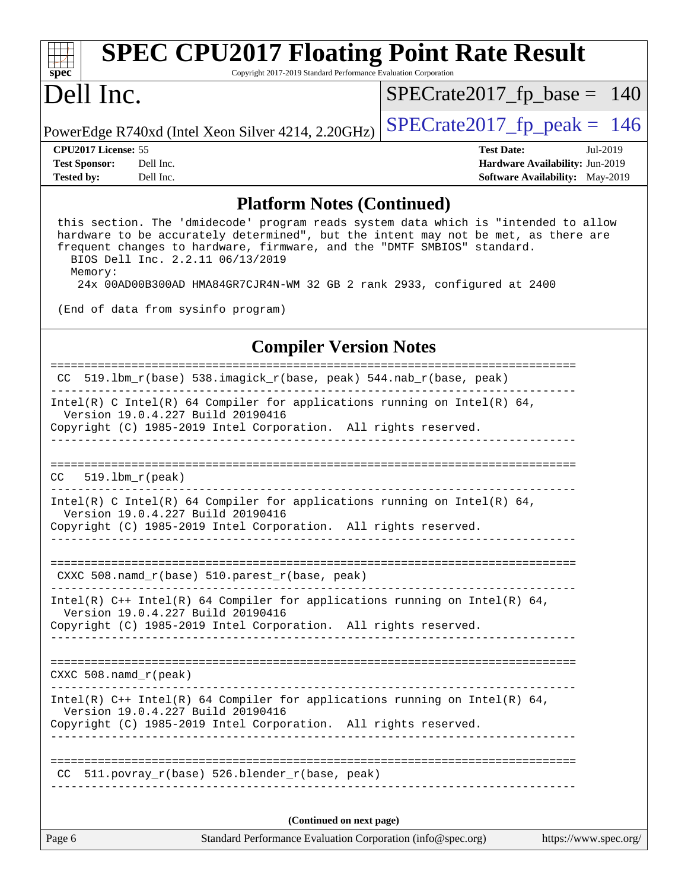| <b>SPEC CPU2017 Floating Point Rate Result</b><br>spec<br>Copyright 2017-2019 Standard Performance Evaluation Corporation                                                                                                                                                                                                                                                                                                                                 |                                        |  |  |  |  |
|-----------------------------------------------------------------------------------------------------------------------------------------------------------------------------------------------------------------------------------------------------------------------------------------------------------------------------------------------------------------------------------------------------------------------------------------------------------|----------------------------------------|--|--|--|--|
| Dell Inc.                                                                                                                                                                                                                                                                                                                                                                                                                                                 | $SPECrate2017_fp\_base = 140$          |  |  |  |  |
| PowerEdge R740xd (Intel Xeon Silver 4214, 2.20GHz)                                                                                                                                                                                                                                                                                                                                                                                                        | $SPECTate2017$ _fp_peak = 146          |  |  |  |  |
| CPU2017 License: 55                                                                                                                                                                                                                                                                                                                                                                                                                                       | <b>Test Date:</b><br>Jul-2019          |  |  |  |  |
| <b>Test Sponsor:</b><br>Dell Inc.                                                                                                                                                                                                                                                                                                                                                                                                                         | Hardware Availability: Jun-2019        |  |  |  |  |
| <b>Tested by:</b><br>Dell Inc.                                                                                                                                                                                                                                                                                                                                                                                                                            | <b>Software Availability:</b> May-2019 |  |  |  |  |
| <b>Platform Notes (Continued)</b><br>this section. The 'dmidecode' program reads system data which is "intended to allow<br>hardware to be accurately determined", but the intent may not be met, as there are<br>frequent changes to hardware, firmware, and the "DMTF SMBIOS" standard.<br>BIOS Dell Inc. 2.2.11 06/13/2019<br>Memory:<br>24x 00AD00B300AD HMA84GR7CJR4N-WM 32 GB 2 rank 2933, configured at 2400<br>(End of data from sysinfo program) |                                        |  |  |  |  |
| <b>Compiler Version Notes</b>                                                                                                                                                                                                                                                                                                                                                                                                                             |                                        |  |  |  |  |
| CC 519.1bm_r(base) 538.imagick_r(base, peak) 544.nab_r(base, peak)                                                                                                                                                                                                                                                                                                                                                                                        |                                        |  |  |  |  |
| Intel(R) C Intel(R) 64 Compiler for applications running on Intel(R) 64,<br>Version 19.0.4.227 Build 20190416<br>Copyright (C) 1985-2019 Intel Corporation. All rights reserved.                                                                                                                                                                                                                                                                          |                                        |  |  |  |  |

============================================================================== CC 519.lbm\_r(peak)

------------------------------------------------------------------------------

------------------------------------------------------------------------------ Intel(R) C Intel(R) 64 Compiler for applications running on Intel(R) 64, Version 19.0.4.227 Build 20190416 Copyright (C) 1985-2019 Intel Corporation. All rights reserved.

------------------------------------------------------------------------------

============================================================================== CXXC 508.namd\_r(base) 510.parest\_r(base, peak)

------------------------------------------------------------------------------ Intel(R) C++ Intel(R) 64 Compiler for applications running on Intel(R) 64, Version 19.0.4.227 Build 20190416 Copyright (C) 1985-2019 Intel Corporation. All rights reserved.

------------------------------------------------------------------------------

==============================================================================

CXXC 508.namd\_r(peak) ------------------------------------------------------------------------------ Intel(R)  $C++$  Intel(R) 64 Compiler for applications running on Intel(R) 64, Version 19.0.4.227 Build 20190416

Copyright (C) 1985-2019 Intel Corporation. All rights reserved. ------------------------------------------------------------------------------

============================================================================== CC 511.povray  $r(base)$  526.blender  $r(base, peak)$ ------------------------------------------------------------------------------

**(Continued on next page)**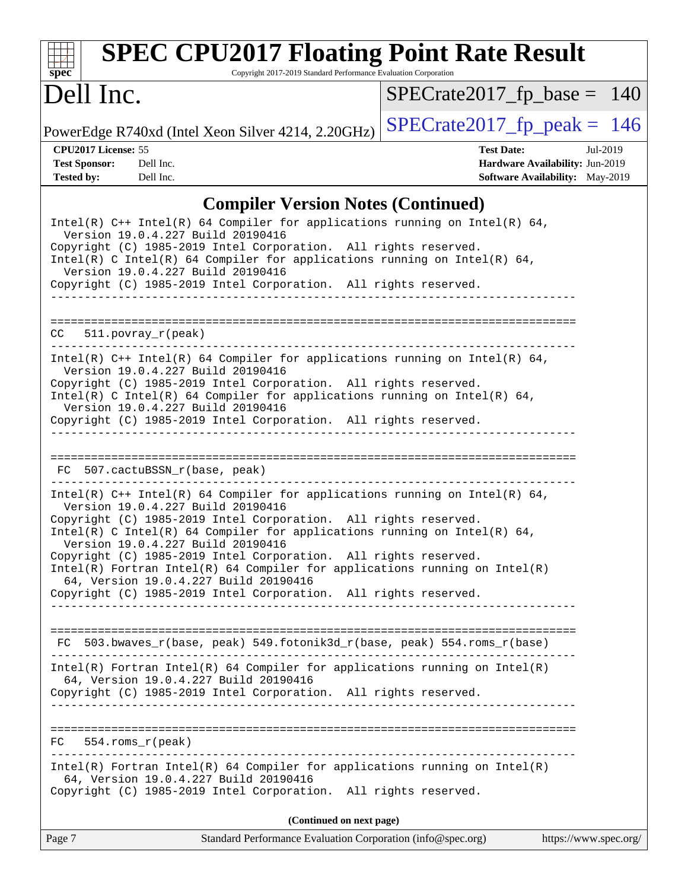| $\mathbf{Spec}^*$ |  |
|-------------------|--|

# **PEC CPU2017 Floating Point Rate Result**

Copyright 2017-2019 Standard Performance Evaluation Corporation

# Dell Inc.

 $SPECTate2017_fp\_base = 140$ 

PowerEdge R740xd (Intel Xeon Silver 4214, 2.20GHz)  $\left|$  [SPECrate2017\\_fp\\_peak =](http://www.spec.org/auto/cpu2017/Docs/result-fields.html#SPECrate2017fppeak) 146

**[CPU2017 License:](http://www.spec.org/auto/cpu2017/Docs/result-fields.html#CPU2017License)** 55 **[Test Date:](http://www.spec.org/auto/cpu2017/Docs/result-fields.html#TestDate)** Jul-2019 **[Test Sponsor:](http://www.spec.org/auto/cpu2017/Docs/result-fields.html#TestSponsor)** Dell Inc. **[Hardware Availability:](http://www.spec.org/auto/cpu2017/Docs/result-fields.html#HardwareAvailability)** Jun-2019 **[Tested by:](http://www.spec.org/auto/cpu2017/Docs/result-fields.html#Testedby)** Dell Inc. Dell Inc. **[Software Availability:](http://www.spec.org/auto/cpu2017/Docs/result-fields.html#SoftwareAvailability)** May-2019

#### **[Compiler Version Notes \(Continued\)](http://www.spec.org/auto/cpu2017/Docs/result-fields.html#CompilerVersionNotes)**

| Page 7 | Standard Performance Evaluation Corporation (info@spec.org)                                                                                                                                                                                                                                      | https://www.spec.org/ |
|--------|--------------------------------------------------------------------------------------------------------------------------------------------------------------------------------------------------------------------------------------------------------------------------------------------------|-----------------------|
|        | (Continued on next page)                                                                                                                                                                                                                                                                         |                       |
|        | $Intel(R)$ Fortran Intel(R) 64 Compiler for applications running on Intel(R)<br>64, Version 19.0.4.227 Build 20190416<br>Copyright (C) 1985-2019 Intel Corporation. All rights reserved.                                                                                                         |                       |
| FC     | $554.$ roms $r(\text{peak})$                                                                                                                                                                                                                                                                     |                       |
|        | Copyright (C) 1985-2019 Intel Corporation. All rights reserved.<br>___________________________                                                                                                                                                                                                   |                       |
|        | Intel(R) Fortran Intel(R) 64 Compiler for applications running on Intel(R)<br>64, Version 19.0.4.227 Build 20190416                                                                                                                                                                              |                       |
|        | FC 503.bwaves_r(base, peak) 549.fotonik3d_r(base, peak) 554.roms_r(base)                                                                                                                                                                                                                         |                       |
|        | Version 19.0.4.227 Build 20190416<br>Copyright (C) 1985-2019 Intel Corporation. All rights reserved.<br>$Intel(R)$ Fortran Intel(R) 64 Compiler for applications running on Intel(R)<br>64, Version 19.0.4.227 Build 20190416<br>Copyright (C) 1985-2019 Intel Corporation. All rights reserved. |                       |
|        | Version 19.0.4.227 Build 20190416<br>Copyright (C) 1985-2019 Intel Corporation. All rights reserved.<br>Intel(R) C Intel(R) 64 Compiler for applications running on Intel(R) 64,                                                                                                                 |                       |
|        | Intel(R) $C++$ Intel(R) 64 Compiler for applications running on Intel(R) 64,                                                                                                                                                                                                                     |                       |
|        | FC 507.cactuBSSN_r(base, peak)                                                                                                                                                                                                                                                                   |                       |
|        | Version 19.0.4.227 Build 20190416<br>Copyright (C) 1985-2019 Intel Corporation. All rights reserved.                                                                                                                                                                                             |                       |
|        | Version 19.0.4.227 Build 20190416<br>Copyright (C) 1985-2019 Intel Corporation. All rights reserved.<br>Intel(R) C Intel(R) 64 Compiler for applications running on Intel(R) 64,                                                                                                                 |                       |
|        | Intel(R) $C++$ Intel(R) 64 Compiler for applications running on Intel(R) 64,                                                                                                                                                                                                                     |                       |
| CC     | $511. povray_r (peak)$                                                                                                                                                                                                                                                                           |                       |
|        | Version 19.0.4.227 Build 20190416<br>Copyright (C) 1985-2019 Intel Corporation. All rights reserved.<br>---------------------------------                                                                                                                                                        |                       |
|        | Copyright (C) 1985-2019 Intel Corporation. All rights reserved.<br>Intel(R) C Intel(R) 64 Compiler for applications running on Intel(R) 64,                                                                                                                                                      |                       |
|        | Intel(R) $C++$ Intel(R) 64 Compiler for applications running on Intel(R) 64,<br>Version 19.0.4.227 Build 20190416                                                                                                                                                                                |                       |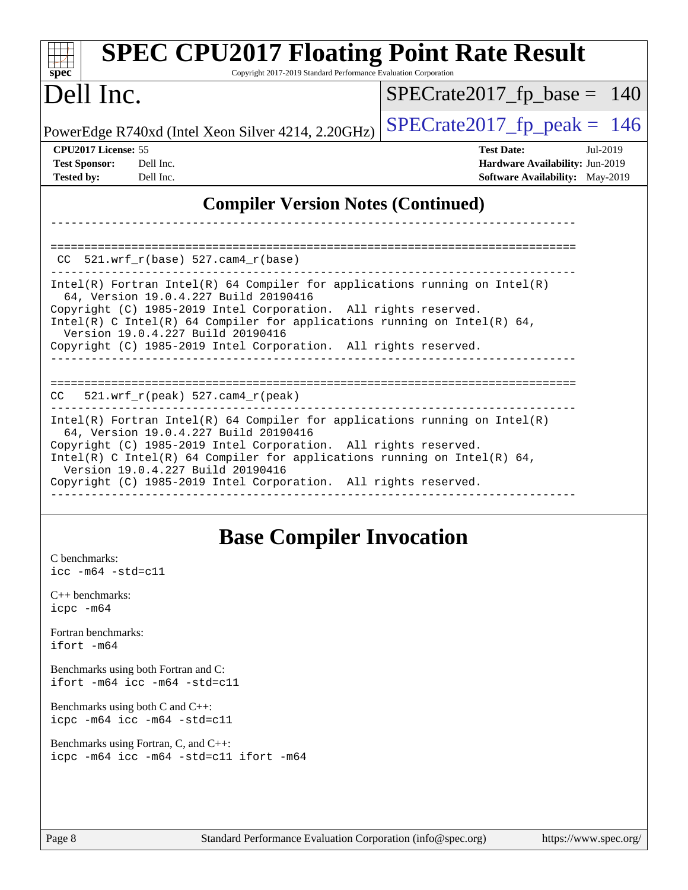| <b>SPEC CPU2017 Floating Point Rate Result</b><br>Copyright 2017-2019 Standard Performance Evaluation Corporation<br>$spec^*$                                                                                                                                                                                                                                                                                         |                                                                                                     |
|-----------------------------------------------------------------------------------------------------------------------------------------------------------------------------------------------------------------------------------------------------------------------------------------------------------------------------------------------------------------------------------------------------------------------|-----------------------------------------------------------------------------------------------------|
| Dell Inc.                                                                                                                                                                                                                                                                                                                                                                                                             | $SPECrate2017_fp\_base = 140$                                                                       |
| PowerEdge R740xd (Intel Xeon Silver 4214, 2.20GHz)                                                                                                                                                                                                                                                                                                                                                                    | $SPECrate2017_fp\_peak = 146$                                                                       |
| CPU <sub>2017</sub> License: 55<br><b>Test Sponsor:</b><br>Dell Inc.<br><b>Tested by:</b><br>Dell Inc.                                                                                                                                                                                                                                                                                                                | <b>Test Date:</b><br>Jul-2019<br>Hardware Availability: Jun-2019<br>Software Availability: May-2019 |
| <b>Compiler Version Notes (Continued)</b>                                                                                                                                                                                                                                                                                                                                                                             |                                                                                                     |
| $CC$ 521.wrf_r(base) 527.cam4_r(base)<br>Intel(R) Fortran Intel(R) 64 Compiler for applications running on $Intel(R)$<br>64, Version 19.0.4.227 Build 20190416<br>Copyright (C) 1985-2019 Intel Corporation. All rights reserved.<br>Intel(R) C Intel(R) 64 Compiler for applications running on Intel(R) 64,<br>Version 19.0.4.227 Build 20190416<br>Copyright (C) 1985-2019 Intel Corporation. All rights reserved. |                                                                                                     |
| $521.wrf_r(peak) 527.cam4_r(peak)$<br>CC.                                                                                                                                                                                                                                                                                                                                                                             |                                                                                                     |
| $Intel(R)$ Fortran Intel(R) 64 Compiler for applications running on Intel(R)<br>64, Version 19.0.4.227 Build 20190416<br>Copyright (C) 1985-2019 Intel Corporation. All rights reserved.<br>Intel(R) C Intel(R) 64 Compiler for applications running on Intel(R) 64,<br>Version 19.0.4.227 Build 20190416<br>Copyright (C) 1985-2019 Intel Corporation. All rights reserved.                                          |                                                                                                     |

## **[Base Compiler Invocation](http://www.spec.org/auto/cpu2017/Docs/result-fields.html#BaseCompilerInvocation)**

[C benchmarks](http://www.spec.org/auto/cpu2017/Docs/result-fields.html#Cbenchmarks): [icc -m64 -std=c11](http://www.spec.org/cpu2017/results/res2019q3/cpu2017-20190805-16538.flags.html#user_CCbase_intel_icc_64bit_c11_33ee0cdaae7deeeab2a9725423ba97205ce30f63b9926c2519791662299b76a0318f32ddfffdc46587804de3178b4f9328c46fa7c2b0cd779d7a61945c91cd35)

[C++ benchmarks:](http://www.spec.org/auto/cpu2017/Docs/result-fields.html#CXXbenchmarks) [icpc -m64](http://www.spec.org/cpu2017/results/res2019q3/cpu2017-20190805-16538.flags.html#user_CXXbase_intel_icpc_64bit_4ecb2543ae3f1412ef961e0650ca070fec7b7afdcd6ed48761b84423119d1bf6bdf5cad15b44d48e7256388bc77273b966e5eb805aefd121eb22e9299b2ec9d9)

[Fortran benchmarks](http://www.spec.org/auto/cpu2017/Docs/result-fields.html#Fortranbenchmarks): [ifort -m64](http://www.spec.org/cpu2017/results/res2019q3/cpu2017-20190805-16538.flags.html#user_FCbase_intel_ifort_64bit_24f2bb282fbaeffd6157abe4f878425411749daecae9a33200eee2bee2fe76f3b89351d69a8130dd5949958ce389cf37ff59a95e7a40d588e8d3a57e0c3fd751)

[Benchmarks using both Fortran and C](http://www.spec.org/auto/cpu2017/Docs/result-fields.html#BenchmarksusingbothFortranandC): [ifort -m64](http://www.spec.org/cpu2017/results/res2019q3/cpu2017-20190805-16538.flags.html#user_CC_FCbase_intel_ifort_64bit_24f2bb282fbaeffd6157abe4f878425411749daecae9a33200eee2bee2fe76f3b89351d69a8130dd5949958ce389cf37ff59a95e7a40d588e8d3a57e0c3fd751) [icc -m64 -std=c11](http://www.spec.org/cpu2017/results/res2019q3/cpu2017-20190805-16538.flags.html#user_CC_FCbase_intel_icc_64bit_c11_33ee0cdaae7deeeab2a9725423ba97205ce30f63b9926c2519791662299b76a0318f32ddfffdc46587804de3178b4f9328c46fa7c2b0cd779d7a61945c91cd35)

[Benchmarks using both C and C++](http://www.spec.org/auto/cpu2017/Docs/result-fields.html#BenchmarksusingbothCandCXX): [icpc -m64](http://www.spec.org/cpu2017/results/res2019q3/cpu2017-20190805-16538.flags.html#user_CC_CXXbase_intel_icpc_64bit_4ecb2543ae3f1412ef961e0650ca070fec7b7afdcd6ed48761b84423119d1bf6bdf5cad15b44d48e7256388bc77273b966e5eb805aefd121eb22e9299b2ec9d9) [icc -m64 -std=c11](http://www.spec.org/cpu2017/results/res2019q3/cpu2017-20190805-16538.flags.html#user_CC_CXXbase_intel_icc_64bit_c11_33ee0cdaae7deeeab2a9725423ba97205ce30f63b9926c2519791662299b76a0318f32ddfffdc46587804de3178b4f9328c46fa7c2b0cd779d7a61945c91cd35)

[Benchmarks using Fortran, C, and C++:](http://www.spec.org/auto/cpu2017/Docs/result-fields.html#BenchmarksusingFortranCandCXX) [icpc -m64](http://www.spec.org/cpu2017/results/res2019q3/cpu2017-20190805-16538.flags.html#user_CC_CXX_FCbase_intel_icpc_64bit_4ecb2543ae3f1412ef961e0650ca070fec7b7afdcd6ed48761b84423119d1bf6bdf5cad15b44d48e7256388bc77273b966e5eb805aefd121eb22e9299b2ec9d9) [icc -m64 -std=c11](http://www.spec.org/cpu2017/results/res2019q3/cpu2017-20190805-16538.flags.html#user_CC_CXX_FCbase_intel_icc_64bit_c11_33ee0cdaae7deeeab2a9725423ba97205ce30f63b9926c2519791662299b76a0318f32ddfffdc46587804de3178b4f9328c46fa7c2b0cd779d7a61945c91cd35) [ifort -m64](http://www.spec.org/cpu2017/results/res2019q3/cpu2017-20190805-16538.flags.html#user_CC_CXX_FCbase_intel_ifort_64bit_24f2bb282fbaeffd6157abe4f878425411749daecae9a33200eee2bee2fe76f3b89351d69a8130dd5949958ce389cf37ff59a95e7a40d588e8d3a57e0c3fd751)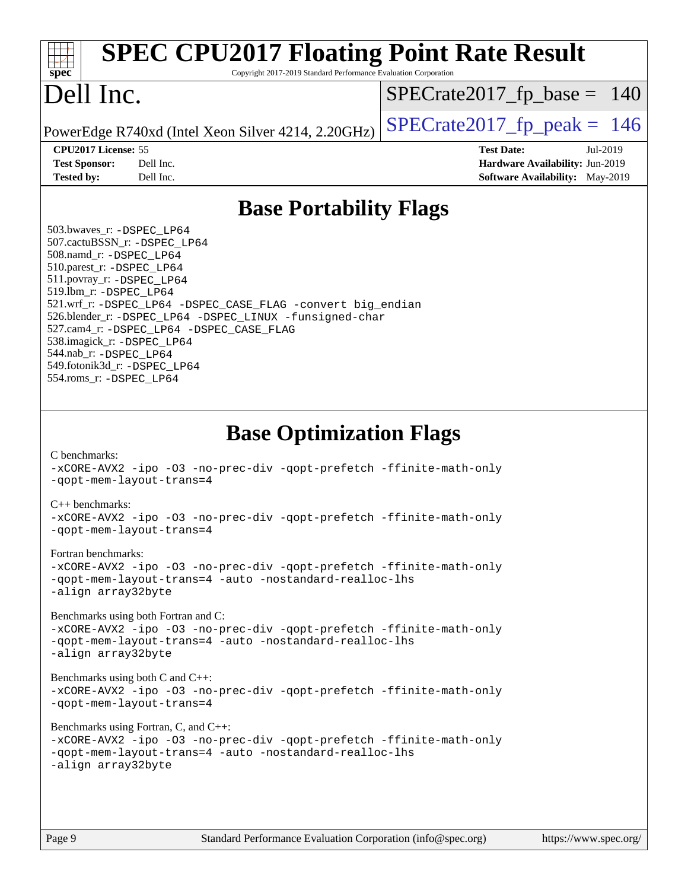| <b>SPEC CPU2017 Floating Point Rate Result</b><br>Copyright 2017-2019 Standard Performance Evaluation Corporation<br>$spec^*$                                                                                                                                                                                                                                                                                                                                                                                                                                                                                                                                                                                                                                                                                                                                                                                                                                                                          |                                                                                                            |
|--------------------------------------------------------------------------------------------------------------------------------------------------------------------------------------------------------------------------------------------------------------------------------------------------------------------------------------------------------------------------------------------------------------------------------------------------------------------------------------------------------------------------------------------------------------------------------------------------------------------------------------------------------------------------------------------------------------------------------------------------------------------------------------------------------------------------------------------------------------------------------------------------------------------------------------------------------------------------------------------------------|------------------------------------------------------------------------------------------------------------|
| Dell Inc.                                                                                                                                                                                                                                                                                                                                                                                                                                                                                                                                                                                                                                                                                                                                                                                                                                                                                                                                                                                              | $SPECrate2017_fp\_base = 140$                                                                              |
| PowerEdge R740xd (Intel Xeon Silver 4214, 2.20GHz)                                                                                                                                                                                                                                                                                                                                                                                                                                                                                                                                                                                                                                                                                                                                                                                                                                                                                                                                                     | $SPECrate2017fp peak = 146$                                                                                |
| CPU2017 License: 55<br><b>Test Sponsor:</b><br>Dell Inc.<br>Dell Inc.<br><b>Tested by:</b>                                                                                                                                                                                                                                                                                                                                                                                                                                                                                                                                                                                                                                                                                                                                                                                                                                                                                                             | <b>Test Date:</b><br>Jul-2019<br>Hardware Availability: Jun-2019<br><b>Software Availability:</b> May-2019 |
| <b>Base Portability Flags</b>                                                                                                                                                                                                                                                                                                                                                                                                                                                                                                                                                                                                                                                                                                                                                                                                                                                                                                                                                                          |                                                                                                            |
| 503.bwaves_r: -DSPEC_LP64<br>507.cactuBSSN_r: - DSPEC LP64<br>508.namd_r: -DSPEC_LP64<br>510.parest_r: -DSPEC LP64<br>511.povray_r: -DSPEC_LP64<br>519.1bm_r: -DSPEC_LP64<br>521.wrf_r: -DSPEC_LP64 -DSPEC_CASE_FLAG -convert big_endian<br>526.blender_r: -DSPEC LP64 -DSPEC LINUX -funsigned-char<br>527.cam4_r: -DSPEC_LP64 -DSPEC_CASE_FLAG<br>538.imagick_r: -DSPEC_LP64<br>544.nab_r: -DSPEC LP64<br>549.fotonik3d_r: -DSPEC_LP64<br>554.roms_r: -DSPEC LP64                                                                                                                                                                                                                                                                                                                                                                                                                                                                                                                                     |                                                                                                            |
| <b>Base Optimization Flags</b><br>C benchmarks:<br>-xCORE-AVX2 -ipo -03 -no-prec-div -qopt-prefetch -ffinite-math-only<br>-gopt-mem-layout-trans=4<br>$C_{++}$ benchmarks:<br>-xCORE-AVX2 -ipo -03 -no-prec-div -qopt-prefetch -ffinite-math-only<br>-qopt-mem-layout-trans=4<br>Fortran benchmarks:<br>-xCORE-AVX2 -ipo -03 -no-prec-div -qopt-prefetch -ffinite-math-only<br>-gopt-mem-layout-trans=4 -auto -nostandard-realloc-lhs<br>-align array32byte<br>Benchmarks using both Fortran and C:<br>-xCORE-AVX2 -ipo -03 -no-prec-div -qopt-prefetch -ffinite-math-only<br>-qopt-mem-layout-trans=4 -auto -nostandard-realloc-lhs<br>-align array32byte<br>Benchmarks using both $C$ and $C++$ :<br>-xCORE-AVX2 -ipo -03 -no-prec-div -qopt-prefetch -ffinite-math-only<br>-gopt-mem-layout-trans=4<br>Benchmarks using Fortran, C, and C++:<br>-xCORE-AVX2 -ipo -03 -no-prec-div -qopt-prefetch -ffinite-math-only<br>-qopt-mem-layout-trans=4 -auto -nostandard-realloc-lhs<br>-align array32byte |                                                                                                            |
| $P_{909}$<br>$Standard$ Performance Evaluation Corporation $(info@spec)$                                                                                                                                                                                                                                                                                                                                                                                                                                                                                                                                                                                                                                                                                                                                                                                                                                                                                                                               | https://www.spec.org/                                                                                      |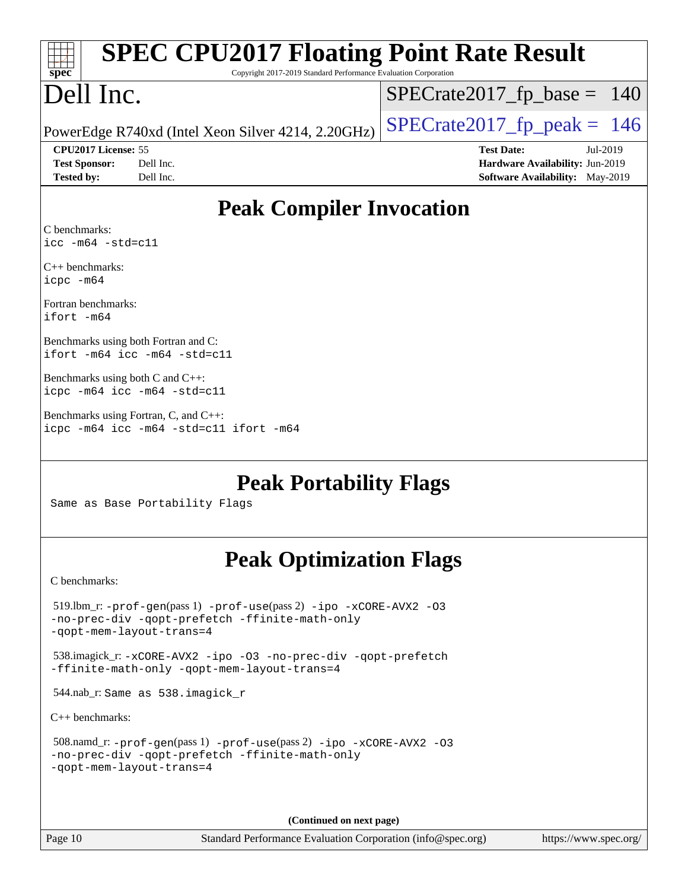| <b>SPEC CPU2017 Floating Point Rate Result</b>                                                                                                       |                                                                    |
|------------------------------------------------------------------------------------------------------------------------------------------------------|--------------------------------------------------------------------|
| Copyright 2017-2019 Standard Performance Evaluation Corporation<br>$spec^*$                                                                          |                                                                    |
| Dell Inc.                                                                                                                                            | $SPECrate2017_fp\_base = 140$                                      |
| PowerEdge R740xd (Intel Xeon Silver 4214, 2.20GHz)                                                                                                   | $SPECrate2017fp peak = 146$                                        |
| CPU2017 License: 55                                                                                                                                  | <b>Test Date:</b><br>Jul-2019                                      |
| <b>Test Sponsor:</b><br>Dell Inc.<br><b>Tested by:</b><br>Dell Inc.                                                                                  | Hardware Availability: Jun-2019<br>Software Availability: May-2019 |
|                                                                                                                                                      |                                                                    |
| <b>Peak Compiler Invocation</b>                                                                                                                      |                                                                    |
| C benchmarks:<br>$\text{icc -m64 -std=c11}$                                                                                                          |                                                                    |
| $C_{++}$ benchmarks:<br>icpc -m64                                                                                                                    |                                                                    |
| Fortran benchmarks:<br>ifort -m64                                                                                                                    |                                                                    |
| Benchmarks using both Fortran and C:<br>ifort -m64 icc -m64 -std=c11                                                                                 |                                                                    |
| Benchmarks using both $C$ and $C_{++}$ :<br>icpc -m64 icc -m64 -std=c11                                                                              |                                                                    |
| Benchmarks using Fortran, C, and C++:<br>icpc -m64 icc -m64 -std=c11 ifort -m64                                                                      |                                                                    |
| <b>Peak Portability Flags</b><br>Same as Base Portability Flags                                                                                      |                                                                    |
| <b>Peak Optimization Flags</b>                                                                                                                       |                                                                    |
| C benchmarks:                                                                                                                                        |                                                                    |
| $519$ .lbm_r: -prof-gen(pass 1) -prof-use(pass 2) -ipo -xCORE-AVX2 -03<br>-no-prec-div -qopt-prefetch -ffinite-math-only<br>-qopt-mem-layout-trans=4 |                                                                    |
| 538.imagick_r: -xCORE-AVX2 -ipo -03 -no-prec-div -qopt-prefetch<br>-ffinite-math-only -qopt-mem-layout-trans=4                                       |                                                                    |
| 544.nab_r: Same as 538.imagick_r                                                                                                                     |                                                                    |
| $C_{++}$ benchmarks:                                                                                                                                 |                                                                    |
| 508.namd_r: -prof-gen(pass 1) -prof-use(pass 2) -ipo -xCORE-AVX2 -03<br>-no-prec-div -qopt-prefetch -ffinite-math-only<br>-gopt-mem-layout-trans=4   |                                                                    |

**(Continued on next page)**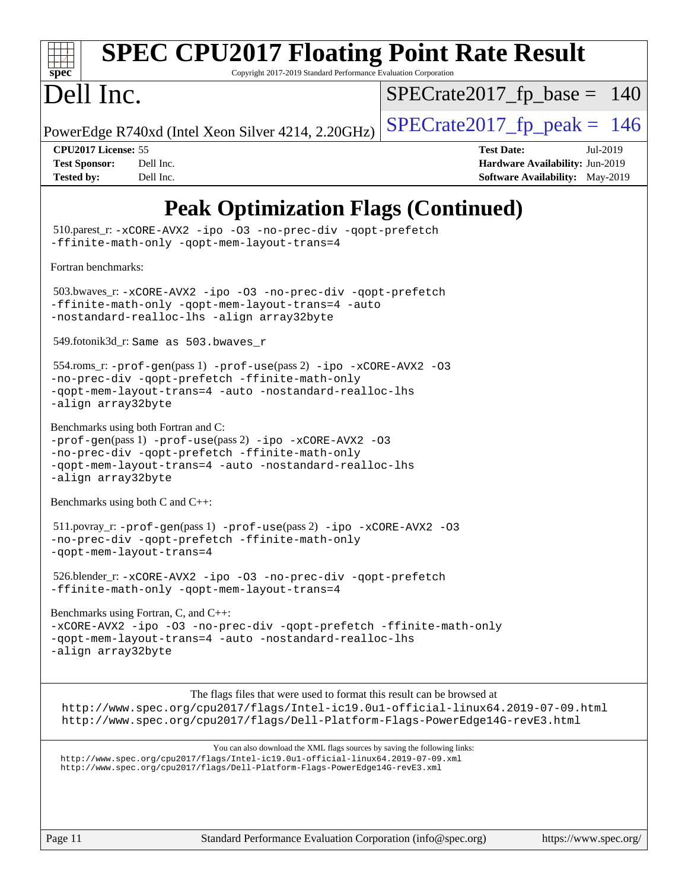|  | spec |  |  |
|--|------|--|--|

# **[SPEC CPU2017 Floating Point Rate Result](http://www.spec.org/auto/cpu2017/Docs/result-fields.html#SPECCPU2017FloatingPointRateResult)**

Copyright 2017-2019 Standard Performance Evaluation Corporation

# Dell Inc.

 $SPECTate2017_fp\_base = 140$ 

PowerEdge R740xd (Intel Xeon Silver 4214, 2.20GHz)  $\left|$  [SPECrate2017\\_fp\\_peak =](http://www.spec.org/auto/cpu2017/Docs/result-fields.html#SPECrate2017fppeak) 146

**[CPU2017 License:](http://www.spec.org/auto/cpu2017/Docs/result-fields.html#CPU2017License)** 55 **[Test Date:](http://www.spec.org/auto/cpu2017/Docs/result-fields.html#TestDate)** Jul-2019 **[Test Sponsor:](http://www.spec.org/auto/cpu2017/Docs/result-fields.html#TestSponsor)** Dell Inc. **[Hardware Availability:](http://www.spec.org/auto/cpu2017/Docs/result-fields.html#HardwareAvailability)** Jun-2019 **[Tested by:](http://www.spec.org/auto/cpu2017/Docs/result-fields.html#Testedby)** Dell Inc. **[Software Availability:](http://www.spec.org/auto/cpu2017/Docs/result-fields.html#SoftwareAvailability)** May-2019

## **[Peak Optimization Flags \(Continued\)](http://www.spec.org/auto/cpu2017/Docs/result-fields.html#PeakOptimizationFlags)**

 510.parest\_r: [-xCORE-AVX2](http://www.spec.org/cpu2017/results/res2019q3/cpu2017-20190805-16538.flags.html#user_peakCXXOPTIMIZE510_parest_r_f-xCORE-AVX2) [-ipo](http://www.spec.org/cpu2017/results/res2019q3/cpu2017-20190805-16538.flags.html#user_peakCXXOPTIMIZE510_parest_r_f-ipo) [-O3](http://www.spec.org/cpu2017/results/res2019q3/cpu2017-20190805-16538.flags.html#user_peakCXXOPTIMIZE510_parest_r_f-O3) [-no-prec-div](http://www.spec.org/cpu2017/results/res2019q3/cpu2017-20190805-16538.flags.html#user_peakCXXOPTIMIZE510_parest_r_f-no-prec-div) [-qopt-prefetch](http://www.spec.org/cpu2017/results/res2019q3/cpu2017-20190805-16538.flags.html#user_peakCXXOPTIMIZE510_parest_r_f-qopt-prefetch) [-ffinite-math-only](http://www.spec.org/cpu2017/results/res2019q3/cpu2017-20190805-16538.flags.html#user_peakCXXOPTIMIZE510_parest_r_f_finite_math_only_cb91587bd2077682c4b38af759c288ed7c732db004271a9512da14a4f8007909a5f1427ecbf1a0fb78ff2a814402c6114ac565ca162485bbcae155b5e4258871) [-qopt-mem-layout-trans=4](http://www.spec.org/cpu2017/results/res2019q3/cpu2017-20190805-16538.flags.html#user_peakCXXOPTIMIZE510_parest_r_f-qopt-mem-layout-trans_fa39e755916c150a61361b7846f310bcdf6f04e385ef281cadf3647acec3f0ae266d1a1d22d972a7087a248fd4e6ca390a3634700869573d231a252c784941a8) [Fortran benchmarks](http://www.spec.org/auto/cpu2017/Docs/result-fields.html#Fortranbenchmarks): 503.bwaves\_r: [-xCORE-AVX2](http://www.spec.org/cpu2017/results/res2019q3/cpu2017-20190805-16538.flags.html#user_peakFOPTIMIZE503_bwaves_r_f-xCORE-AVX2) [-ipo](http://www.spec.org/cpu2017/results/res2019q3/cpu2017-20190805-16538.flags.html#user_peakFOPTIMIZE503_bwaves_r_f-ipo) [-O3](http://www.spec.org/cpu2017/results/res2019q3/cpu2017-20190805-16538.flags.html#user_peakFOPTIMIZE503_bwaves_r_f-O3) [-no-prec-div](http://www.spec.org/cpu2017/results/res2019q3/cpu2017-20190805-16538.flags.html#user_peakFOPTIMIZE503_bwaves_r_f-no-prec-div) [-qopt-prefetch](http://www.spec.org/cpu2017/results/res2019q3/cpu2017-20190805-16538.flags.html#user_peakFOPTIMIZE503_bwaves_r_f-qopt-prefetch) [-ffinite-math-only](http://www.spec.org/cpu2017/results/res2019q3/cpu2017-20190805-16538.flags.html#user_peakFOPTIMIZE503_bwaves_r_f_finite_math_only_cb91587bd2077682c4b38af759c288ed7c732db004271a9512da14a4f8007909a5f1427ecbf1a0fb78ff2a814402c6114ac565ca162485bbcae155b5e4258871) [-qopt-mem-layout-trans=4](http://www.spec.org/cpu2017/results/res2019q3/cpu2017-20190805-16538.flags.html#user_peakFOPTIMIZE503_bwaves_r_f-qopt-mem-layout-trans_fa39e755916c150a61361b7846f310bcdf6f04e385ef281cadf3647acec3f0ae266d1a1d22d972a7087a248fd4e6ca390a3634700869573d231a252c784941a8) [-auto](http://www.spec.org/cpu2017/results/res2019q3/cpu2017-20190805-16538.flags.html#user_peakFOPTIMIZE503_bwaves_r_f-auto) [-nostandard-realloc-lhs](http://www.spec.org/cpu2017/results/res2019q3/cpu2017-20190805-16538.flags.html#user_peakEXTRA_FOPTIMIZE503_bwaves_r_f_2003_std_realloc_82b4557e90729c0f113870c07e44d33d6f5a304b4f63d4c15d2d0f1fab99f5daaed73bdb9275d9ae411527f28b936061aa8b9c8f2d63842963b95c9dd6426b8a) [-align array32byte](http://www.spec.org/cpu2017/results/res2019q3/cpu2017-20190805-16538.flags.html#user_peakEXTRA_FOPTIMIZE503_bwaves_r_align_array32byte_b982fe038af199962ba9a80c053b8342c548c85b40b8e86eb3cc33dee0d7986a4af373ac2d51c3f7cf710a18d62fdce2948f201cd044323541f22fc0fffc51b6) 549.fotonik3d\_r: Same as 503.bwaves\_r 554.roms\_r: [-prof-gen](http://www.spec.org/cpu2017/results/res2019q3/cpu2017-20190805-16538.flags.html#user_peakPASS1_FFLAGSPASS1_LDFLAGS554_roms_r_prof_gen_5aa4926d6013ddb2a31985c654b3eb18169fc0c6952a63635c234f711e6e63dd76e94ad52365559451ec499a2cdb89e4dc58ba4c67ef54ca681ffbe1461d6b36)(pass 1) [-prof-use](http://www.spec.org/cpu2017/results/res2019q3/cpu2017-20190805-16538.flags.html#user_peakPASS2_FFLAGSPASS2_LDFLAGS554_roms_r_prof_use_1a21ceae95f36a2b53c25747139a6c16ca95bd9def2a207b4f0849963b97e94f5260e30a0c64f4bb623698870e679ca08317ef8150905d41bd88c6f78df73f19)(pass 2) [-ipo](http://www.spec.org/cpu2017/results/res2019q3/cpu2017-20190805-16538.flags.html#user_peakPASS1_FOPTIMIZEPASS2_FOPTIMIZE554_roms_r_f-ipo) [-xCORE-AVX2](http://www.spec.org/cpu2017/results/res2019q3/cpu2017-20190805-16538.flags.html#user_peakPASS2_FOPTIMIZE554_roms_r_f-xCORE-AVX2) [-O3](http://www.spec.org/cpu2017/results/res2019q3/cpu2017-20190805-16538.flags.html#user_peakPASS1_FOPTIMIZEPASS2_FOPTIMIZE554_roms_r_f-O3) [-no-prec-div](http://www.spec.org/cpu2017/results/res2019q3/cpu2017-20190805-16538.flags.html#user_peakPASS1_FOPTIMIZEPASS2_FOPTIMIZE554_roms_r_f-no-prec-div) [-qopt-prefetch](http://www.spec.org/cpu2017/results/res2019q3/cpu2017-20190805-16538.flags.html#user_peakPASS1_FOPTIMIZEPASS2_FOPTIMIZE554_roms_r_f-qopt-prefetch) [-ffinite-math-only](http://www.spec.org/cpu2017/results/res2019q3/cpu2017-20190805-16538.flags.html#user_peakPASS1_FOPTIMIZEPASS2_FOPTIMIZE554_roms_r_f_finite_math_only_cb91587bd2077682c4b38af759c288ed7c732db004271a9512da14a4f8007909a5f1427ecbf1a0fb78ff2a814402c6114ac565ca162485bbcae155b5e4258871) [-qopt-mem-layout-trans=4](http://www.spec.org/cpu2017/results/res2019q3/cpu2017-20190805-16538.flags.html#user_peakPASS1_FOPTIMIZEPASS2_FOPTIMIZE554_roms_r_f-qopt-mem-layout-trans_fa39e755916c150a61361b7846f310bcdf6f04e385ef281cadf3647acec3f0ae266d1a1d22d972a7087a248fd4e6ca390a3634700869573d231a252c784941a8) [-auto](http://www.spec.org/cpu2017/results/res2019q3/cpu2017-20190805-16538.flags.html#user_peakPASS2_FOPTIMIZE554_roms_r_f-auto) [-nostandard-realloc-lhs](http://www.spec.org/cpu2017/results/res2019q3/cpu2017-20190805-16538.flags.html#user_peakEXTRA_FOPTIMIZE554_roms_r_f_2003_std_realloc_82b4557e90729c0f113870c07e44d33d6f5a304b4f63d4c15d2d0f1fab99f5daaed73bdb9275d9ae411527f28b936061aa8b9c8f2d63842963b95c9dd6426b8a) [-align array32byte](http://www.spec.org/cpu2017/results/res2019q3/cpu2017-20190805-16538.flags.html#user_peakEXTRA_FOPTIMIZE554_roms_r_align_array32byte_b982fe038af199962ba9a80c053b8342c548c85b40b8e86eb3cc33dee0d7986a4af373ac2d51c3f7cf710a18d62fdce2948f201cd044323541f22fc0fffc51b6) [Benchmarks using both Fortran and C](http://www.spec.org/auto/cpu2017/Docs/result-fields.html#BenchmarksusingbothFortranandC): [-prof-gen](http://www.spec.org/cpu2017/results/res2019q3/cpu2017-20190805-16538.flags.html#user_CC_FCpeak_prof_gen_5aa4926d6013ddb2a31985c654b3eb18169fc0c6952a63635c234f711e6e63dd76e94ad52365559451ec499a2cdb89e4dc58ba4c67ef54ca681ffbe1461d6b36)(pass 1) [-prof-use](http://www.spec.org/cpu2017/results/res2019q3/cpu2017-20190805-16538.flags.html#user_CC_FCpeak_prof_use_1a21ceae95f36a2b53c25747139a6c16ca95bd9def2a207b4f0849963b97e94f5260e30a0c64f4bb623698870e679ca08317ef8150905d41bd88c6f78df73f19)(pass 2) [-ipo](http://www.spec.org/cpu2017/results/res2019q3/cpu2017-20190805-16538.flags.html#user_CC_FCpeak_f-ipo) [-xCORE-AVX2](http://www.spec.org/cpu2017/results/res2019q3/cpu2017-20190805-16538.flags.html#user_CC_FCpeak_f-xCORE-AVX2) [-O3](http://www.spec.org/cpu2017/results/res2019q3/cpu2017-20190805-16538.flags.html#user_CC_FCpeak_f-O3) [-no-prec-div](http://www.spec.org/cpu2017/results/res2019q3/cpu2017-20190805-16538.flags.html#user_CC_FCpeak_f-no-prec-div) [-qopt-prefetch](http://www.spec.org/cpu2017/results/res2019q3/cpu2017-20190805-16538.flags.html#user_CC_FCpeak_f-qopt-prefetch) [-ffinite-math-only](http://www.spec.org/cpu2017/results/res2019q3/cpu2017-20190805-16538.flags.html#user_CC_FCpeak_f_finite_math_only_cb91587bd2077682c4b38af759c288ed7c732db004271a9512da14a4f8007909a5f1427ecbf1a0fb78ff2a814402c6114ac565ca162485bbcae155b5e4258871) [-qopt-mem-layout-trans=4](http://www.spec.org/cpu2017/results/res2019q3/cpu2017-20190805-16538.flags.html#user_CC_FCpeak_f-qopt-mem-layout-trans_fa39e755916c150a61361b7846f310bcdf6f04e385ef281cadf3647acec3f0ae266d1a1d22d972a7087a248fd4e6ca390a3634700869573d231a252c784941a8) [-auto](http://www.spec.org/cpu2017/results/res2019q3/cpu2017-20190805-16538.flags.html#user_CC_FCpeak_f-auto) [-nostandard-realloc-lhs](http://www.spec.org/cpu2017/results/res2019q3/cpu2017-20190805-16538.flags.html#user_CC_FCpeak_f_2003_std_realloc_82b4557e90729c0f113870c07e44d33d6f5a304b4f63d4c15d2d0f1fab99f5daaed73bdb9275d9ae411527f28b936061aa8b9c8f2d63842963b95c9dd6426b8a) [-align array32byte](http://www.spec.org/cpu2017/results/res2019q3/cpu2017-20190805-16538.flags.html#user_CC_FCpeak_align_array32byte_b982fe038af199962ba9a80c053b8342c548c85b40b8e86eb3cc33dee0d7986a4af373ac2d51c3f7cf710a18d62fdce2948f201cd044323541f22fc0fffc51b6) [Benchmarks using both C and C++](http://www.spec.org/auto/cpu2017/Docs/result-fields.html#BenchmarksusingbothCandCXX): 511.povray\_r: [-prof-gen](http://www.spec.org/cpu2017/results/res2019q3/cpu2017-20190805-16538.flags.html#user_peakPASS1_CFLAGSPASS1_CXXFLAGSPASS1_LDFLAGS511_povray_r_prof_gen_5aa4926d6013ddb2a31985c654b3eb18169fc0c6952a63635c234f711e6e63dd76e94ad52365559451ec499a2cdb89e4dc58ba4c67ef54ca681ffbe1461d6b36)(pass 1) [-prof-use](http://www.spec.org/cpu2017/results/res2019q3/cpu2017-20190805-16538.flags.html#user_peakPASS2_CFLAGSPASS2_CXXFLAGSPASS2_LDFLAGS511_povray_r_prof_use_1a21ceae95f36a2b53c25747139a6c16ca95bd9def2a207b4f0849963b97e94f5260e30a0c64f4bb623698870e679ca08317ef8150905d41bd88c6f78df73f19)(pass 2) [-ipo](http://www.spec.org/cpu2017/results/res2019q3/cpu2017-20190805-16538.flags.html#user_peakPASS1_COPTIMIZEPASS1_CXXOPTIMIZEPASS2_COPTIMIZEPASS2_CXXOPTIMIZE511_povray_r_f-ipo) [-xCORE-AVX2](http://www.spec.org/cpu2017/results/res2019q3/cpu2017-20190805-16538.flags.html#user_peakPASS2_COPTIMIZEPASS2_CXXOPTIMIZE511_povray_r_f-xCORE-AVX2) [-O3](http://www.spec.org/cpu2017/results/res2019q3/cpu2017-20190805-16538.flags.html#user_peakPASS1_COPTIMIZEPASS1_CXXOPTIMIZEPASS2_COPTIMIZEPASS2_CXXOPTIMIZE511_povray_r_f-O3) [-no-prec-div](http://www.spec.org/cpu2017/results/res2019q3/cpu2017-20190805-16538.flags.html#user_peakPASS1_COPTIMIZEPASS1_CXXOPTIMIZEPASS2_COPTIMIZEPASS2_CXXOPTIMIZE511_povray_r_f-no-prec-div) [-qopt-prefetch](http://www.spec.org/cpu2017/results/res2019q3/cpu2017-20190805-16538.flags.html#user_peakPASS1_COPTIMIZEPASS1_CXXOPTIMIZEPASS2_COPTIMIZEPASS2_CXXOPTIMIZE511_povray_r_f-qopt-prefetch) [-ffinite-math-only](http://www.spec.org/cpu2017/results/res2019q3/cpu2017-20190805-16538.flags.html#user_peakPASS1_COPTIMIZEPASS1_CXXOPTIMIZEPASS2_COPTIMIZEPASS2_CXXOPTIMIZE511_povray_r_f_finite_math_only_cb91587bd2077682c4b38af759c288ed7c732db004271a9512da14a4f8007909a5f1427ecbf1a0fb78ff2a814402c6114ac565ca162485bbcae155b5e4258871) [-qopt-mem-layout-trans=4](http://www.spec.org/cpu2017/results/res2019q3/cpu2017-20190805-16538.flags.html#user_peakPASS1_COPTIMIZEPASS1_CXXOPTIMIZEPASS2_COPTIMIZEPASS2_CXXOPTIMIZE511_povray_r_f-qopt-mem-layout-trans_fa39e755916c150a61361b7846f310bcdf6f04e385ef281cadf3647acec3f0ae266d1a1d22d972a7087a248fd4e6ca390a3634700869573d231a252c784941a8) 526.blender\_r: [-xCORE-AVX2](http://www.spec.org/cpu2017/results/res2019q3/cpu2017-20190805-16538.flags.html#user_peakCOPTIMIZECXXOPTIMIZE526_blender_r_f-xCORE-AVX2) [-ipo](http://www.spec.org/cpu2017/results/res2019q3/cpu2017-20190805-16538.flags.html#user_peakCOPTIMIZECXXOPTIMIZE526_blender_r_f-ipo) [-O3](http://www.spec.org/cpu2017/results/res2019q3/cpu2017-20190805-16538.flags.html#user_peakCOPTIMIZECXXOPTIMIZE526_blender_r_f-O3) [-no-prec-div](http://www.spec.org/cpu2017/results/res2019q3/cpu2017-20190805-16538.flags.html#user_peakCOPTIMIZECXXOPTIMIZE526_blender_r_f-no-prec-div) [-qopt-prefetch](http://www.spec.org/cpu2017/results/res2019q3/cpu2017-20190805-16538.flags.html#user_peakCOPTIMIZECXXOPTIMIZE526_blender_r_f-qopt-prefetch) [-ffinite-math-only](http://www.spec.org/cpu2017/results/res2019q3/cpu2017-20190805-16538.flags.html#user_peakCOPTIMIZECXXOPTIMIZE526_blender_r_f_finite_math_only_cb91587bd2077682c4b38af759c288ed7c732db004271a9512da14a4f8007909a5f1427ecbf1a0fb78ff2a814402c6114ac565ca162485bbcae155b5e4258871) [-qopt-mem-layout-trans=4](http://www.spec.org/cpu2017/results/res2019q3/cpu2017-20190805-16538.flags.html#user_peakCOPTIMIZECXXOPTIMIZE526_blender_r_f-qopt-mem-layout-trans_fa39e755916c150a61361b7846f310bcdf6f04e385ef281cadf3647acec3f0ae266d1a1d22d972a7087a248fd4e6ca390a3634700869573d231a252c784941a8) [Benchmarks using Fortran, C, and C++:](http://www.spec.org/auto/cpu2017/Docs/result-fields.html#BenchmarksusingFortranCandCXX) [-xCORE-AVX2](http://www.spec.org/cpu2017/results/res2019q3/cpu2017-20190805-16538.flags.html#user_CC_CXX_FCpeak_f-xCORE-AVX2) [-ipo](http://www.spec.org/cpu2017/results/res2019q3/cpu2017-20190805-16538.flags.html#user_CC_CXX_FCpeak_f-ipo) [-O3](http://www.spec.org/cpu2017/results/res2019q3/cpu2017-20190805-16538.flags.html#user_CC_CXX_FCpeak_f-O3) [-no-prec-div](http://www.spec.org/cpu2017/results/res2019q3/cpu2017-20190805-16538.flags.html#user_CC_CXX_FCpeak_f-no-prec-div) [-qopt-prefetch](http://www.spec.org/cpu2017/results/res2019q3/cpu2017-20190805-16538.flags.html#user_CC_CXX_FCpeak_f-qopt-prefetch) [-ffinite-math-only](http://www.spec.org/cpu2017/results/res2019q3/cpu2017-20190805-16538.flags.html#user_CC_CXX_FCpeak_f_finite_math_only_cb91587bd2077682c4b38af759c288ed7c732db004271a9512da14a4f8007909a5f1427ecbf1a0fb78ff2a814402c6114ac565ca162485bbcae155b5e4258871) [-qopt-mem-layout-trans=4](http://www.spec.org/cpu2017/results/res2019q3/cpu2017-20190805-16538.flags.html#user_CC_CXX_FCpeak_f-qopt-mem-layout-trans_fa39e755916c150a61361b7846f310bcdf6f04e385ef281cadf3647acec3f0ae266d1a1d22d972a7087a248fd4e6ca390a3634700869573d231a252c784941a8) [-auto](http://www.spec.org/cpu2017/results/res2019q3/cpu2017-20190805-16538.flags.html#user_CC_CXX_FCpeak_f-auto) [-nostandard-realloc-lhs](http://www.spec.org/cpu2017/results/res2019q3/cpu2017-20190805-16538.flags.html#user_CC_CXX_FCpeak_f_2003_std_realloc_82b4557e90729c0f113870c07e44d33d6f5a304b4f63d4c15d2d0f1fab99f5daaed73bdb9275d9ae411527f28b936061aa8b9c8f2d63842963b95c9dd6426b8a) [-align array32byte](http://www.spec.org/cpu2017/results/res2019q3/cpu2017-20190805-16538.flags.html#user_CC_CXX_FCpeak_align_array32byte_b982fe038af199962ba9a80c053b8342c548c85b40b8e86eb3cc33dee0d7986a4af373ac2d51c3f7cf710a18d62fdce2948f201cd044323541f22fc0fffc51b6) The flags files that were used to format this result can be browsed at <http://www.spec.org/cpu2017/flags/Intel-ic19.0u1-official-linux64.2019-07-09.html> <http://www.spec.org/cpu2017/flags/Dell-Platform-Flags-PowerEdge14G-revE3.html> You can also download the XML flags sources by saving the following links: <http://www.spec.org/cpu2017/flags/Intel-ic19.0u1-official-linux64.2019-07-09.xml> <http://www.spec.org/cpu2017/flags/Dell-Platform-Flags-PowerEdge14G-revE3.xml>